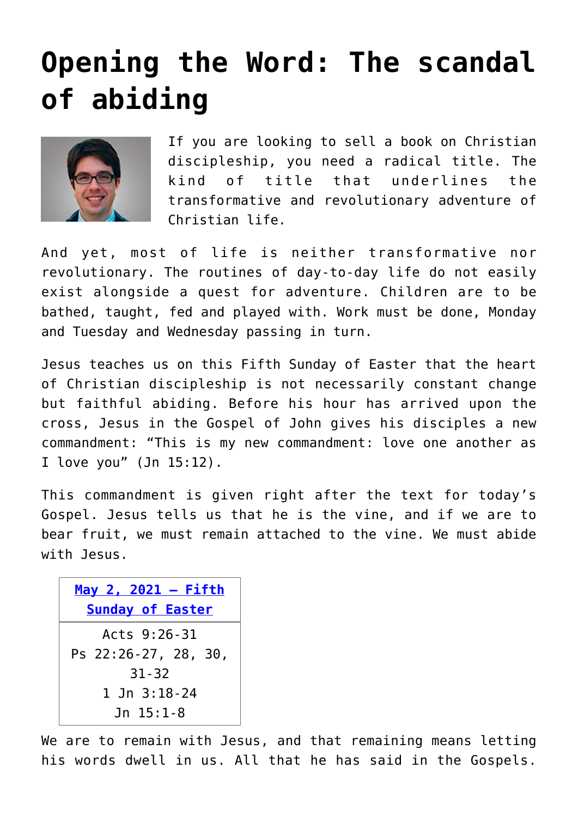## **[Opening the Word: The scandal](https://www.osvnews.com/2021/04/26/opening-the-word-the-scandal-of-abiding/) [of abiding](https://www.osvnews.com/2021/04/26/opening-the-word-the-scandal-of-abiding/)**



If you are looking to sell a book on Christian discipleship, you need a radical title. The kind of title that underlines the transformative and revolutionary adventure of Christian life.

And yet, most of life is neither transformative nor revolutionary. The routines of day-to-day life do not easily exist alongside a quest for adventure. Children are to be bathed, taught, fed and played with. Work must be done, Monday and Tuesday and Wednesday passing in turn.

Jesus teaches us on this Fifth Sunday of Easter that the heart of Christian discipleship is not necessarily constant change but faithful abiding. Before his hour has arrived upon the cross, Jesus in the Gospel of John gives his disciples a new commandment: "This is my new commandment: love one another as I love you" (Jn 15:12).

This commandment is given right after the text for today's Gospel. Jesus tells us that he is the vine, and if we are to bear fruit, we must remain attached to the vine. We must abide with Jesus.

| May 2, 2021 - Fifth     |
|-------------------------|
| <b>Sunday of Easter</b> |
| Acts 9:26-31            |
| Ps 22:26-27, 28, 30,    |
| $31 - 32$               |
| 1 Jn 3:18-24            |
| Jn 15:1-8               |

We are to remain with Jesus, and that remaining means letting his words dwell in us. All that he has said in the Gospels.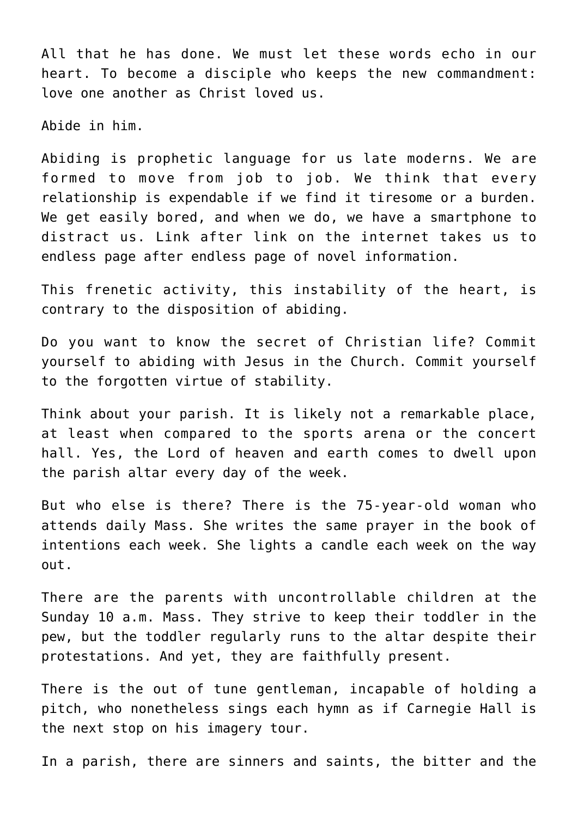All that he has done. We must let these words echo in our heart. To become a disciple who keeps the new commandment: love one another as Christ loved us.

Abide in him.

Abiding is prophetic language for us late moderns. We are formed to move from job to job. We think that every relationship is expendable if we find it tiresome or a burden. We get easily bored, and when we do, we have a smartphone to distract us. Link after link on the internet takes us to endless page after endless page of novel information.

This frenetic activity, this instability of the heart, is contrary to the disposition of abiding.

Do you want to know the secret of Christian life? Commit yourself to abiding with Jesus in the Church. Commit yourself to the forgotten virtue of stability.

Think about your parish. It is likely not a remarkable place, at least when compared to the sports arena or the concert hall. Yes, the Lord of heaven and earth comes to dwell upon the parish altar every day of the week.

But who else is there? There is the 75-year-old woman who attends daily Mass. She writes the same prayer in the book of intentions each week. She lights a candle each week on the way out.

There are the parents with uncontrollable children at the Sunday 10 a.m. Mass. They strive to keep their toddler in the pew, but the toddler regularly runs to the altar despite their protestations. And yet, they are faithfully present.

There is the out of tune gentleman, incapable of holding a pitch, who nonetheless sings each hymn as if Carnegie Hall is the next stop on his imagery tour.

In a parish, there are sinners and saints, the bitter and the